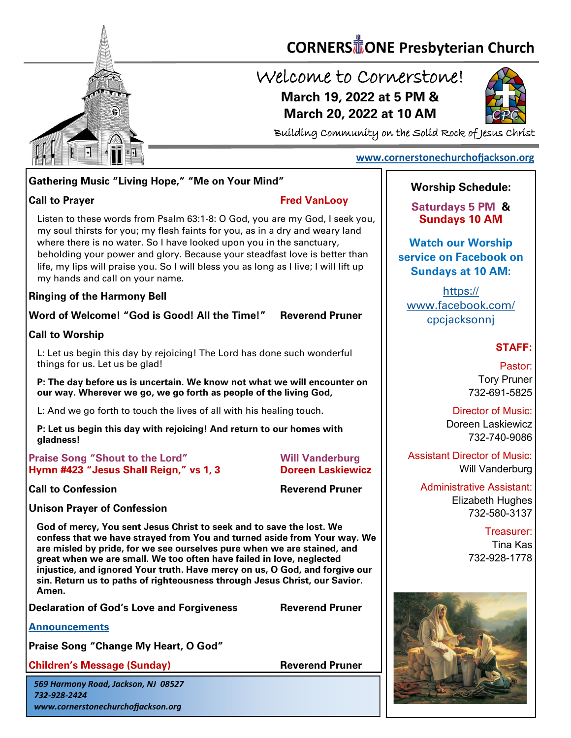

# **CORNERS** TONE Presbyterian Church

### Welcome to Cornerstone! **March 19, 2022 at 5 PM & March 20, 2022 at 10 AM**



Building Community on the Solid Rock of Jesus Christ

### **[www.cornerstonechurchofjackson.org](http://www.cornerstonechurchofjackson.org)**

#### **Gathering Music "Living Hope," "Me on Your Mind"**

#### **Call to Prayer Fred VanLooy**

 my soul thirsts for you; my flesh faints for you, as in a dry and weary land Listen to these words from Psalm 63:1-8: O God, you are my God, I seek you, where there is no water. So I have looked upon you in the sanctuary, beholding your power and glory. Because your steadfast love is better than life, my lips will praise you. So I will bless you as long as I live; I will lift up my hands and call on your name.

#### **Ringing of the Harmony Bell**

**Word of Welcome! "God is Good! All the Time!" Reverend Pruner**

**Call to Worship** 

L: Let us begin this day by rejoicing! The Lord has done such wonderful things for us. Let us be glad!

**P: The day before us is uncertain. We know not what we will encounter on our way. Wherever we go, we go forth as people of the living God,** 

L: And we go forth to touch the lives of all with his healing touch.

**P: Let us begin this day with rejoicing! And return to our homes with gladness!** 

**Praise Song "Shout to the Lord" Will Vanderburg Hymn #423 "Jesus Shall Reign," vs 1, 3 Doreen Laskiewicz**

**Call to Confession Reverend Pruner** 

**Unison Prayer of Confession**

**God of mercy, You sent Jesus Christ to seek and to save the lost. We confess that we have strayed from You and turned aside from Your way. We are misled by pride, for we see ourselves pure when we are stained, and great when we are small. We too often have failed in love, neglected injustice, and ignored Your truth. Have mercy on us, O God, and forgive our sin. Return us to paths of righteousness through Jesus Christ, our Savior. Amen.**

**Declaration of God's Love and Forgiveness Reverend Pruner**

**[Announcements](http://cornerstonechurchofjackson.org/?page_id=2)**

**Praise Song "Change My Heart, O God"** 

**Children's Message (Sunday) Reverend Pruner** 

*569 Harmony Road, Jackson, NJ 08527 732-928-2424 www.cornerstonechurchofjackson.org*

### **Worship Schedule:**

**Saturdays 5 PM & Sundays 10 AM**

**Watch our Worship service on Facebook on Sundays at 10 AM:**

[https://](https://www.facebook.com/cpcjacksonnj) [www.facebook.com/](https://www.facebook.com/cpcjacksonnj) [cpcjacksonnj](https://www.facebook.com/cpcjacksonnj)

#### **STAFF:**

Pastor: Tory Pruner 732-691-5825

Director of Music: Doreen Laskiewicz 732-740-9086

Assistant Director of Music: Will Vanderburg

Administrative Assistant: Elizabeth Hughes 732-580-3137

> Treasurer: Tina Kas 732-928-1778